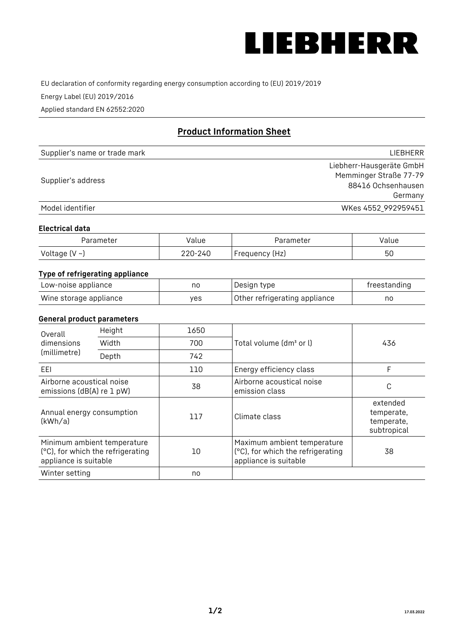

EU declaration of conformity regarding energy consumption according to (EU) 2019/2019

Energy Label (EU) 2019/2016

Applied standard EN 62552:2020

# **Product Information Sheet**

| Supplier's name or trade mark | LIEBHERR                 |
|-------------------------------|--------------------------|
|                               | Liebherr-Hausgeräte GmbH |
| Supplier's address            | Memminger Straße 77-79   |
|                               | 88416 Ochsenhausen       |
|                               | Germany                  |
| Model identifier              | WKes 4552_992959451      |

### **Electrical data**

| Parameter     | Value   | Parameter      | Value |
|---------------|---------|----------------|-------|
| Voltage (V ~) | 220-240 | Frequency (Hz) | 50    |

# **Type of refrigerating appliance**

| Low-noise appliance    | no  | Design type                   | freestanding |
|------------------------|-----|-------------------------------|--------------|
| Wine storage appliance | ves | Other refrigerating appliance | no           |

### **General product parameters**

| Overall                                                | Height                                                           | 1650 |                                                                                           | 436                                                 |
|--------------------------------------------------------|------------------------------------------------------------------|------|-------------------------------------------------------------------------------------------|-----------------------------------------------------|
| dimensions<br>(millimetre)                             | Width                                                            | 700  | Total volume (dm <sup>3</sup> or l)                                                       |                                                     |
|                                                        | Depth                                                            | 742  |                                                                                           |                                                     |
| EEL                                                    |                                                                  | 110  | Energy efficiency class                                                                   | F                                                   |
| Airborne acoustical noise<br>emissions (dB(A) re 1 pW) |                                                                  | 38   | Airborne acoustical noise<br>emission class                                               | C                                                   |
| Annual energy consumption<br>(kWh/a)                   |                                                                  | 117  | Climate class                                                                             | extended<br>temperate,<br>temperate,<br>subtropical |
| appliance is suitable                                  | Minimum ambient temperature<br>(°C), for which the refrigerating | 10   | Maximum ambient temperature<br>(°C), for which the refrigerating<br>appliance is suitable | 38                                                  |
| Winter setting                                         |                                                                  | no   |                                                                                           |                                                     |